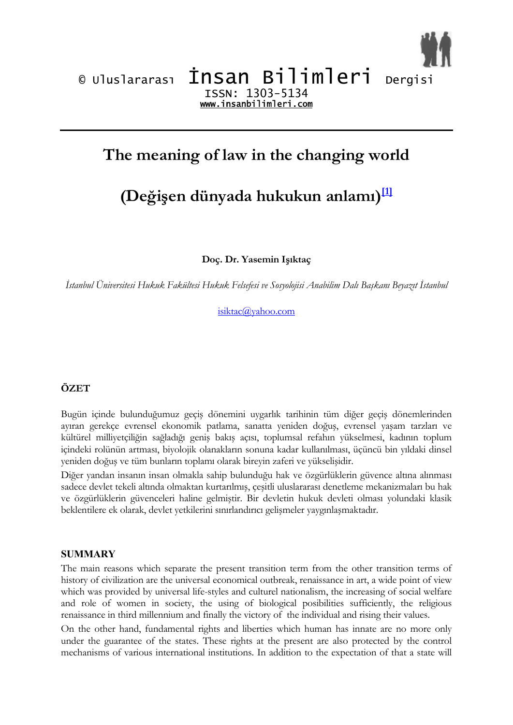



## **The meaning of law in the changing world**

# **(Değişen dünyada hukukun anlamı) [1]**

**Doç. Dr. Yasemin Işıktaç**

*İstanbul Üniversitesi Hukuk Fakültesi Hukuk Felsefesi ve Sosyolojisi Anabilim Dalı Başkanı Beyazıt İstanbul*

isiktac@yahoo.com

## **ÖZET**

Bugün içinde bulunduğumuz geçiş dönemini uygarlık tarihinin tüm diğer geçiş dönemlerinden ayıran gerekçe evrensel ekonomik patlama, sanatta yeniden doğuş, evrensel yaşam tarzları ve kültürel milliyetçiliğin sağladığı geniş bakış açısı, toplumsal refahın yükselmesi, kadının toplum içindeki rolünün artması, biyolojik olanakların sonuna kadar kullanılması, üçüncü bin yıldaki dinsel yeniden doğuş ve tüm bunların toplamı olarak bireyin zaferi ve yükselişidir.

Diğer yandan insanın insan olmakla sahip bulunduğu hak ve özgürlüklerin güvence altına alınması sadece devlet tekeli altında olmaktan kurtarılmış, çeşitli uluslararası denetleme mekanizmaları bu hak ve özgürlüklerin güvenceleri haline gelmiştir. Bir devletin hukuk devleti olması yolundaki klasik beklentilere ek olarak, devlet yetkilerini sınırlandırıcı gelişmeler yaygınlaşmaktadır.

## **SUMMARY**

The main reasons which separate the present transition term from the other transition terms of history of civilization are the universal economical outbreak, renaissance in art, a wide point of view which was provided by universal life-styles and culturel nationalism, the increasing of social welfare and role of women in society, the using of biological posibilities sufficiently, the religious renaissance in third millennium and finally the victory of the individual and rising their values.

On the other hand, fundamental rights and liberties which human has innate are no more only under the guarantee of the states. These rights at the present are also protected by the control mechanisms of various international institutions. In addition to the expectation of that a state will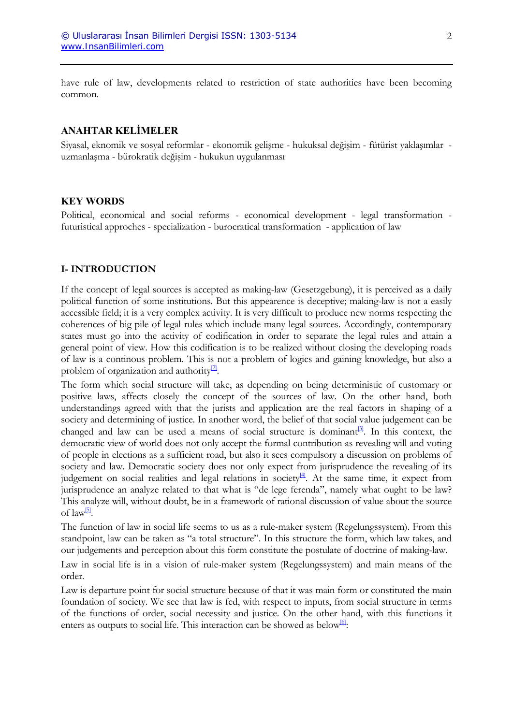have rule of law, developments related to restriction of state authorities have been becoming common.

#### **ANAHTAR KELİMELER**

Siyasal, eknomik ve sosyal reformlar - ekonomik gelişme - hukuksal değişim - fütürist yaklaşımlar uzmanlaşma - bürokratik değişim - hukukun uygulanması

#### **KEY WORDS**

Political, economical and social reforms - economical development - legal transformation futuristical approches - specialization - burocratical transformation - application of law

#### **I- INTRODUCTION**

If the concept of legal sources is accepted as making-law (Gesetzgebung), it is perceived as a daily political function of some institutions. But this appearence is deceptive; making-law is not a easily accessible field; it is a very complex activity. It is very difficult to produce new norms respecting the coherences of big pile of legal rules which include many legal sources. Accordingly, contemporary states must go into the activity of codification in order to separate the legal rules and attain a general point of view. How this codification is to be realized without closing the developing roads of law is a continous problem. This is not a problem of logics and gaining knowledge, but also a problem of organization and authority $\frac{2}{2}$ .

The form which social structure will take, as depending on being deterministic of customary or positive laws, affects closely the concept of the sources of law. On the other hand, both understandings agreed with that the jurists and application are the real factors in shaping of a society and determining of justice. In another word, the belief of that social value judgement can be changed and law can be used a means of social structure is dominant $^{[3]}$ . In this context, the democratic view of world does not only accept the formal contribution as revealing will and voting of people in elections as a sufficient road, but also it sees compulsory a discussion on problems of society and law. Democratic society does not only expect from jurisprudence the revealing of its judgement on social realities and legal relations in society<sup>[4]</sup>. At the same time, it expect from jurisprudence an analyze related to that what is "de lege ferenda", namely what ought to be law? This analyze will, without doubt, be in a framework of rational discussion of value about the source of  $law^{5}$ .

The function of law in social life seems to us as a rule-maker system (Regelungssystem). From this standpoint, law can be taken as "a total structure". In this structure the form, which law takes, and our judgements and perception about this form constitute the postulate of doctrine of making-law.

Law in social life is in a vision of rule-maker system (Regelungssystem) and main means of the order.

Law is departure point for social structure because of that it was main form or constituted the main foundation of society. We see that law is fed, with respect to inputs, from social structure in terms of the functions of order, social necessity and justice. On the other hand, with this functions it enters as outputs to social life. This interaction can be showed as below<sup>[6]</sup>: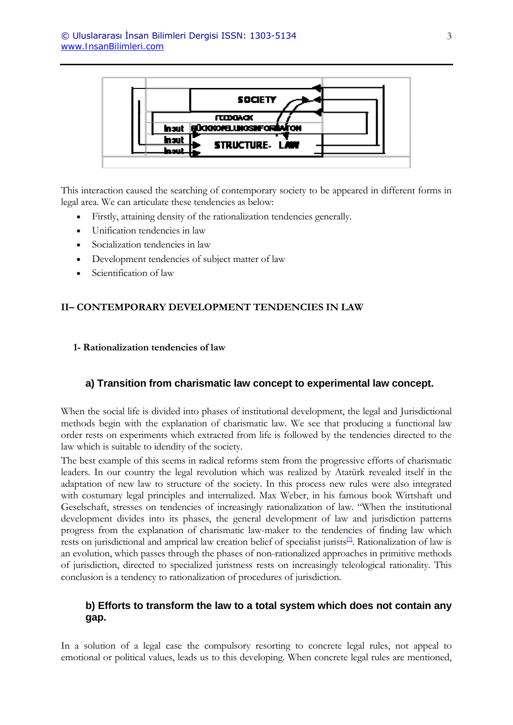

This interaction caused the searching of contemporary society to be appeared in different forms in legal area. We can articulate these tendencies as below:

- Firstly, attaining density of the rationalization tendencies generally.
- Unification tendencies in law
- Socialization tendencies in law
- Development tendencies of subject matter of law
- Scientification of law

## **II– CONTEMPORARY DEVELOPMENT TENDENCIES IN LAW**

**1- Rationalization tendencies of law** 

## **a) Transition from charismatic law concept to experimental law concept.**

When the social life is divided into phases of institutional development, the legal and Jurisdictional methods begin with the explanation of charismatic law. We see that producing a functional law order rests on experiments which extracted from life is followed by the tendencies directed to the law which is suitable to idendity of the society.

The best example of this seems in radical reforms stem from the progressive efforts of charismatic leaders. In our country the legal revolution which was realized by Atatürk revealed itself in the adaptation of new law to structure of the society. In this process new rules were also integrated with costumary legal principles and internalized. Max Weber, in his famous book Wirtshaft und Geselschaft, stresses on tendencies of increasingly rationalization of law. "When the institutional development divides into its phases, the general development of law and jurisdiction patterns progress from the explanation of charismatic law-maker to the tendencies of finding law which rests on jurisdictional and amprical law creation belief of specialist jurists[7]. Rationalization of law is an evolution, which passes through the phases of non-rationalized approaches in primitive methods of jurisdiction, directed to specialized juristness rests on increasingly teleological rationality. This conclusion is a tendency to rationalization of procedures of jurisdiction.

## **b) Efforts to transform the law to a total system which does not contain any gap.**

In a solution of a legal case the compulsory resorting to concrete legal rules, not appeal to emotional or political values, leads us to this developing. When concrete legal rules are mentioned,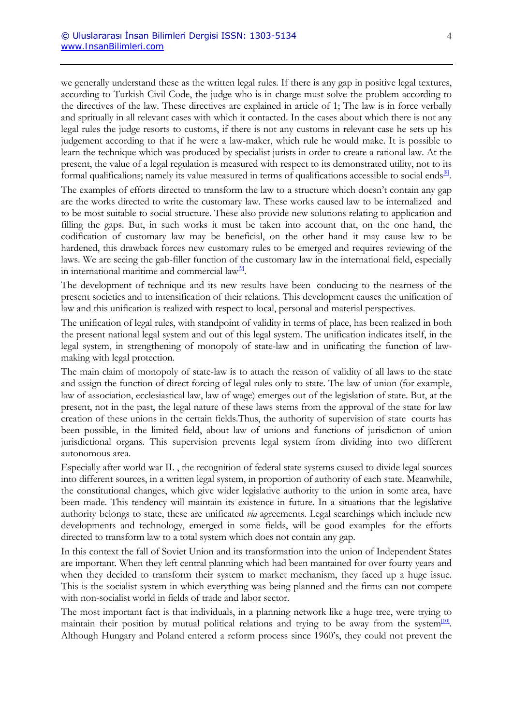we generally understand these as the written legal rules. If there is any gap in positive legal textures, according to Turkish Civil Code, the judge who is in charge must solve the problem according to the directives of the law. These directives are explained in article of 1; The law is in force verbally and spritually in all relevant cases with which it contacted. In the cases about which there is not any legal rules the judge resorts to customs, if there is not any customs in relevant case he sets up his judgement according to that if he were a law-maker, which rule he would make. It is possible to learn the technique which was produced by specialist jurists in order to create a rational law. At the present, the value of a legal regulation is measured with respect to its demonstrated utility, not to its formal qualificalions; namely its value measured in terms of qualifications accessible to social ends<sup>[8]</sup>.

The examples of efforts directed to transform the law to a structure which doesn't contain any gap are the works directed to write the customary law. These works caused law to be internalized and to be most suitable to social structure. These also provide new solutions relating to application and filling the gaps. But, in such works it must be taken into account that, on the one hand, the codification of customary law may be beneficial, on the other hand it may cause law to be hardened, this drawback forces new customary rules to be emerged and requires reviewing of the laws. We are seeing the gab-filler function of the customary law in the international field, especially in international maritime and commercial law $\mathbb{P}$ .

The development of technique and its new results have been conducing to the nearness of the present societies and to intensification of their relations. This development causes the unification of law and this unification is realized with respect to local, personal and material perspectives.

The unification of legal rules, with standpoint of validity in terms of place, has been realized in both the present national legal system and out of this legal system. The unification indicates itself, in the legal system, in strengthening of monopoly of state-law and in unificating the function of lawmaking with legal protection.

The main claim of monopoly of state-law is to attach the reason of validity of all laws to the state and assign the function of direct forcing of legal rules only to state. The law of union (for example, law of association, ecclesiastical law, law of wage) emerges out of the legislation of state. But, at the present, not in the past, the legal nature of these laws stems from the approval of the state for law creation of these unions in the certain fields.Thus, the authority of supervision of state courts has been possible, in the limited field, about law of unions and functions of jurisdiction of union jurisdictional organs. This supervision prevents legal system from dividing into two different autonomous area.

Especially after world war II. , the recognition of federal state systems caused to divide legal sources into different sources, in a written legal system, in proportion of authority of each state. Meanwhile, the constitutional changes, which give wider legislative authority to the union in some area, have been made. This tendency will maintain its existence in future. In a situations that the legislative authority belongs to state, these are unificated *via* agreements. Legal searchings which include new developments and technology, emerged in some fields, will be good examples for the efforts directed to transform law to a total system which does not contain any gap.

In this context the fall of Soviet Union and its transformation into the union of Independent States are important. When they left central planning which had been mantained for over fourty years and when they decided to transform their system to market mechanism, they faced up a huge issue. This is the socialist system in which everything was being planned and the firms can not compete with non-socialist world in fields of trade and labor sector.

The most important fact is that individuals, in a planning network like a huge tree, were trying to maintain their position by mutual political relations and trying to be away from the system $\frac{100}{10}$ . Although Hungary and Poland entered a reform process since 1960's, they could not prevent the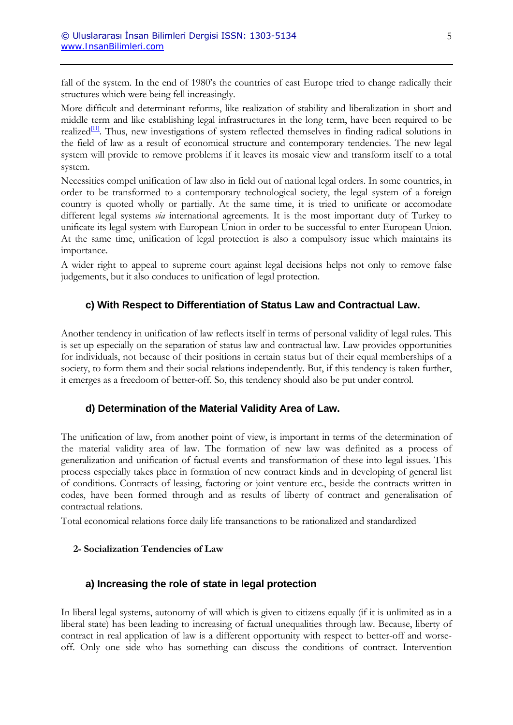fall of the system. In the end of 1980's the countries of east Europe tried to change radically their structures which were being fell increasingly.

More difficult and determinant reforms, like realization of stability and liberalization in short and middle term and like establishing legal infrastructures in the long term, have been required to be realized $[11]$ . Thus, new investigations of system reflected themselves in finding radical solutions in the field of law as a result of economical structure and contemporary tendencies. The new legal system will provide to remove problems if it leaves its mosaic view and transform itself to a total system.

Necessities compel unification of law also in field out of national legal orders. In some countries, in order to be transformed to a contemporary technological society, the legal system of a foreign country is quoted wholly or partially. At the same time, it is tried to unificate or accomodate different legal systems *via* international agreements. It is the most important duty of Turkey to unificate its legal system with European Union in order to be successful to enter European Union. At the same time, unification of legal protection is also a compulsory issue which maintains its importance.

A wider right to appeal to supreme court against legal decisions helps not only to remove false judgements, but it also conduces to unification of legal protection.

## **c) With Respect to Differentiation of Status Law and Contractual Law.**

Another tendency in unification of law reflects itself in terms of personal validity of legal rules. This is set up especially on the separation of status law and contractual law. Law provides opportunities for individuals, not because of their positions in certain status but of their equal memberships of a society, to form them and their social relations independently. But, if this tendency is taken further, it emerges as a freedoom of better-off. So, this tendency should also be put under control.

## **d) Determination of the Material Validity Area of Law.**

The unification of law, from another point of view, is important in terms of the determination of the material validity area of law. The formation of new law was definited as a process of generalization and unification of factual events and transformation of these into legal issues. This process especially takes place in formation of new contract kinds and in developing of general list of conditions. Contracts of leasing, factoring or joint venture etc., beside the contracts written in codes, have been formed through and as results of liberty of contract and generalisation of contractual relations.

Total economical relations force daily life transanctions to be rationalized and standardized

## **2- Socialization Tendencies of Law**

## **a) Increasing the role of state in legal protection**

In liberal legal systems, autonomy of will which is given to citizens equally (if it is unlimited as in a liberal state) has been leading to increasing of factual unequalities through law. Because, liberty of contract in real application of law is a different opportunity with respect to better-off and worseoff. Only one side who has something can discuss the conditions of contract. Intervention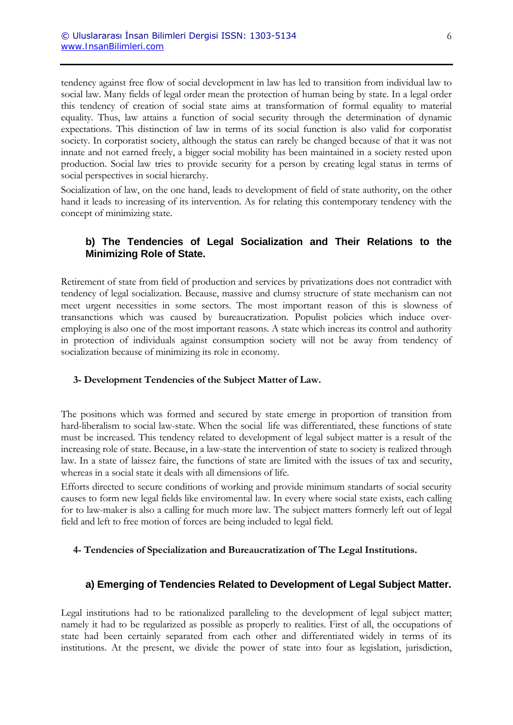tendency against free flow of social development in law has led to transition from individual law to social law. Many fields of legal order mean the protection of human being by state. In a legal order this tendency of creation of social state aims at transformation of formal equality to material equality. Thus, law attains a function of social security through the determination of dynamic expectations. This distinction of law in terms of its social function is also valid for corporatist society. In corporatist society, although the status can rarely be changed because of that it was not innate and not earned freely, a bigger social mobility has been maintained in a society rested upon production. Social law tries to provide security for a person by creating legal status in terms of social perspectives in social hierarchy.

Socialization of law, on the one hand, leads to development of field of state authority, on the other hand it leads to increasing of its intervention. As for relating this contemporary tendency with the concept of minimizing state.

## **b) The Tendencies of Legal Socialization and Their Relations to the Minimizing Role of State.**

Retirement of state from field of production and services by privatizations does not contradict with tendency of legal socialization. Because, massive and clumsy structure of state mechanism can not meet urgent necessities in some sectors. The most important reason of this is slowness of transanctions which was caused by bureaucratization. Populist policies which induce overemploying is also one of the most important reasons. A state which increas its control and authority in protection of individuals against consumption society will not be away from tendency of socialization because of minimizing its role in economy.

#### **3- Development Tendencies of the Subject Matter of Law.**

The positions which was formed and secured by state emerge in proportion of transition from hard-liberalism to social law-state. When the social life was differentiated, these functions of state must be increased. This tendency related to development of legal subject matter is a result of the increasing role of state. Because, in a law-state the intervention of state to society is realized through law. In a state of laissez faire, the functions of state are limited with the issues of tax and security, whereas in a social state it deals with all dimensions of life.

Efforts directed to secure conditions of working and provide minimum standarts of social security causes to form new legal fields like enviromental law. In every where social state exists, each calling for to law-maker is also a calling for much more law. The subject matters formerly left out of legal field and left to free motion of forces are being included to legal field.

#### **4- Tendencies of Specialization and Bureaucratization of The Legal Institutions.**

## **a) Emerging of Tendencies Related to Development of Legal Subject Matter.**

Legal institutions had to be rationalized paralleling to the development of legal subject matter; namely it had to be regularized as possible as properly to realities. First of all, the occupations of state had been certainly separated from each other and differentiated widely in terms of its institutions. At the present, we divide the power of state into four as legislation, jurisdiction,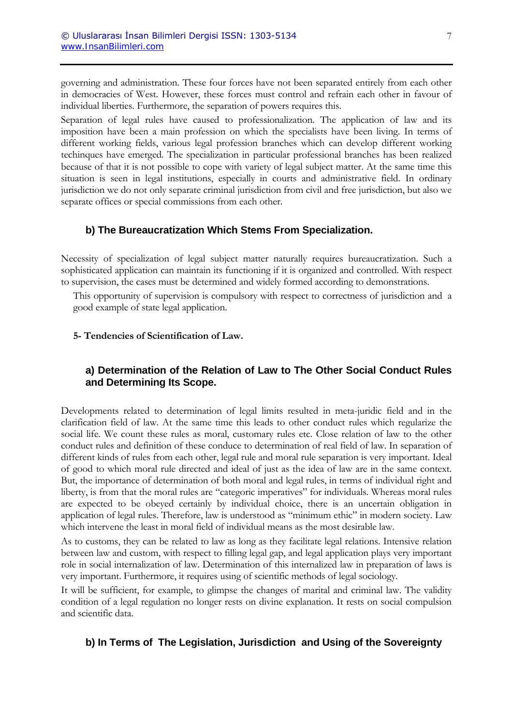governing and administration. These four forces have not been separated entirely from each other in democracies of West. However, these forces must control and refrain each other in favour of individual liberties. Furthermore, the separation of powers requires this.

Separation of legal rules have caused to professionalization. The application of law and its imposition have been a main profession on which the specialists have been living. In terms of different working fields, various legal profession branches which can develop different working techinques have emerged. The specialization in particular professional branches has been realized because of that it is not possible to cope with variety of legal subject matter. At the same time this situation is seen in legal institutions, especially in courts and administrative field. In ordinary jurisdiction we do not only separate criminal jurisdiction from civil and free jurisdiction, but also we separate offices or special commissions from each other.

## **b) The Bureaucratization Which Stems From Specialization.**

Necessity of specialization of legal subject matter naturally requires bureaucratization. Such a sophisticated application can maintain its functioning if it is organized and controlled. With respect to supervision, the cases must be determined and widely formed according to demonstrations.

This opportunity of supervision is compulsory with respect to correctness of jurisdiction and a good example of state legal application.

#### **5- Tendencies of Scientification of Law.**

## **a) Determination of the Relation of Law to The Other Social Conduct Rules and Determining Its Scope.**

Developments related to determination of legal limits resulted in meta-juridic field and in the clarification field of law. At the same time this leads to other conduct rules which regularize the social life. We count these rules as moral, customary rules etc. Close relation of law to the other conduct rules and definition of these conduce to determination of real field of law. In separation of different kinds of rules from each other, legal rule and moral rule separation is very important. Ideal of good to which moral rule directed and ideal of just as the idea of law are in the same context. But, the importance of determination of both moral and legal rules, in terms of individual right and liberty, is from that the moral rules are "categoric imperatives" for individuals. Whereas moral rules are expected to be obeyed certainly by individual choice, there is an uncertain obligation in application of legal rules. Therefore, law is understood as "minimum ethic" in modern society. Law which intervene the least in moral field of individual means as the most desirable law.

As to customs, they can be related to law as long as they facilitate legal relations. Intensive relation between law and custom, with respect to filling legal gap, and legal application plays very important role in social internalization of law. Determination of this internalized law in preparation of laws is very important. Furthermore, it requires using of scientific methods of legal sociology.

It will be sufficient, for example, to glimpse the changes of marital and criminal law. The validity condition of a legal regulation no longer rests on divine explanation. It rests on social compulsion and scientific data.

## **b) In Terms of The Legislation, Jurisdiction and Using of the Sovereignty**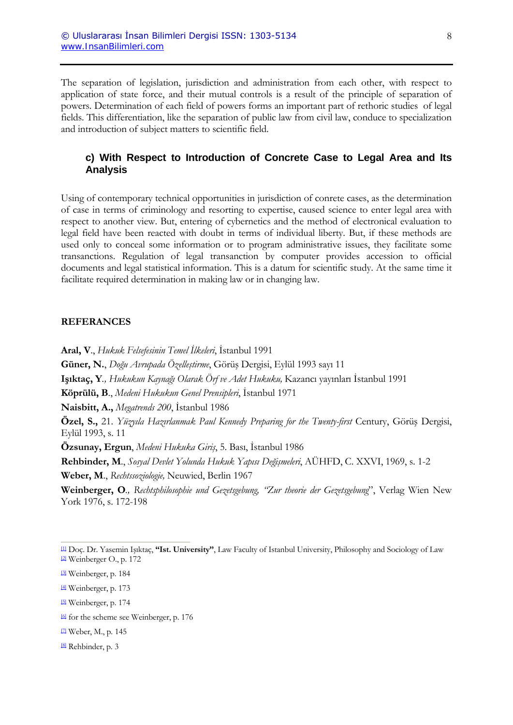The separation of legislation, jurisdiction and administration from each other, with respect to application of state force, and their mutual controls is a result of the principle of separation of powers. Determination of each field of powers forms an important part of rethoric studies of legal fields. This differentiation, like the separation of public law from civil law, conduce to specialization and introduction of subject matters to scientific field.

## **c) With Respect to Introduction of Concrete Case to Legal Area and Its Analysis**

Using of contemporary technical opportunities in jurisdiction of conrete cases, as the determination of case in terms of criminology and resorting to expertise, caused science to enter legal area with respect to another view. But, entering of cybernetics and the method of electronical evaluation to legal field have been reacted with doubt in terms of individual liberty. But, if these methods are used only to conceal some information or to program administrative issues, they facilitate some transanctions. Regulation of legal transanction by computer provides accession to official documents and legal statistical information. This is a datum for scientific study. At the same time it facilitate required determination in making law or in changing law.

#### **REFERANCES**

**Aral, V**., *Hukuk Felsefesinin Temel İlkeleri*, İstanbul 1991

**Güner, N.**, *Doğu Avrupada Özelleştirme*, Görüş Dergisi, Eylül 1993 sayı 11

**Işıktaç, Y***., Hukukun Kaynağı Olarak Örf ve Adet Hukuku,* Kazancı yayınları İstanbul 1991

**Köprülü, B**., *Medeni Hukukun Genel Prensipleri*, İstanbul 1971

**Naisbitt, A.,** *Megatrends 200*, İstanbul 1986

**Özel, S.,** 21. *Yüzyıla Hazırlanmak Paul Kennedy Preparing for the Twenty-first* Century, Görüş Dergisi, Eylül 1993, s. 11

**Özsunay, Ergun**, *Medeni Hukuka Giriş*, 5. Bası, İstanbul 1986

**Rehbinder, M**., *Sosyal Devlet Yolunda Hukuk Yapısı Değişmeleri*, AÜHFD, C. XXVI, 1969, s. 1-2

**Weber, M**., *Rechtssoziologie,* Neuwied, Berlin 1967

**Weinberger, O***., Rechtsphilosophie und Gezetsgebung, "Zur theorie der Gezetsgebung*", Verlag Wien New York 1976, s. 172-198

<sup>5</sup> Weinberger, p. 174

<sup>[1]</sup> Doç. Dr. Yasemin Işıktaç, **"Ist. University"**, Law Faculty of Istanbul University, Philosophy and Sociology of Law <sup>2</sup> Weinberger O., p. 172

<sup>&</sup>lt;sup>[3]</sup> Weinberger, p. 184

<sup>[4]</sup> Weinberger, p. 173

 $\frac{6}{6}$  for the scheme see Weinberger, p. 176

<sup>[7]</sup> Weber, M., p. 145

<sup>&</sup>lt;sup>8</sup> Rehbinder, p. 3